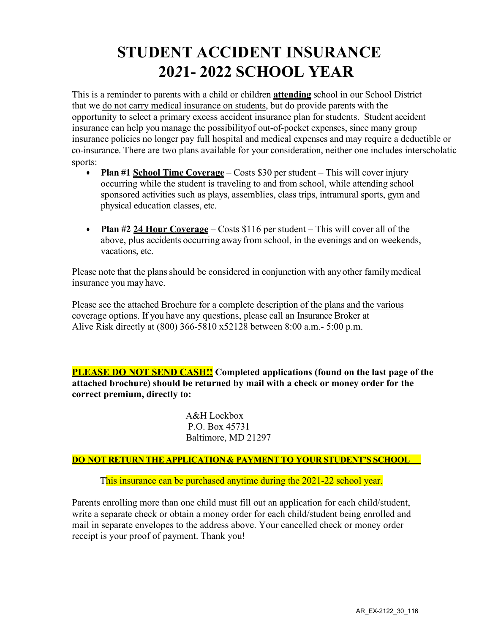### **STUDENT ACCIDENT INSURANCE 20***2***1- 2022 SCHOOL YEAR**

This is a reminder to parents with a child or children **attending** school in our School District that we do not carry medical insurance on students, but do provide parents with the opportunity to select a primary excess accident insurance plan for students. Student accident insurance can help you manage the possibilityof out-of-pocket expenses, since many group insurance policies no longer pay full hospital and medical expenses and may require a deductible or co-insurance. There are two plans available for your consideration, neither one includes interscholatic sports:

- **Plan #1 School Time Coverage** Costs \$30 per student This will cover injury occurring while the student is traveling to and from school, while attending school sponsored activities such as plays, assemblies, class trips, intramural sports, gym and physical education classes, etc.
- **Plan #2 24 Hour Coverage** Costs \$116 per student This will cover all of the above, plus accidents occurring away from school, in the evenings and on weekends, vacations, etc.

Please note that the plans should be considered in conjunction with any other family medical insurance you may have.

Please see the attached Brochure for a complete description of the plans and the various coverage options. If you have any questions, please call an Insurance Broker at Alive Risk directly at (800) 366-5810 x52128 between 8:00 a.m.- 5:00 p.m.

**PLEASE DO NOT SEND CASH!! Completed applications (found on the last page of the attached brochure) should be returned by mail with a check or money order for the correct premium, directly to:**

> A&H Lockbox P.O. Box 45731 Baltimore, MD 21297

**DO NOT RETURN THE APPLICATION & PAYMENT TO YOUR STUDENT'S SCHOOL**

This insurance can be purchased anytime during the 2021-22 school year.

Parents enrolling more than one child must fill out an application for each child/student, write a separate check or obtain a money order for each child/student being enrolled and mail in separate envelopes to the address above. Your cancelled check or money order receipt is your proof of payment. Thank you!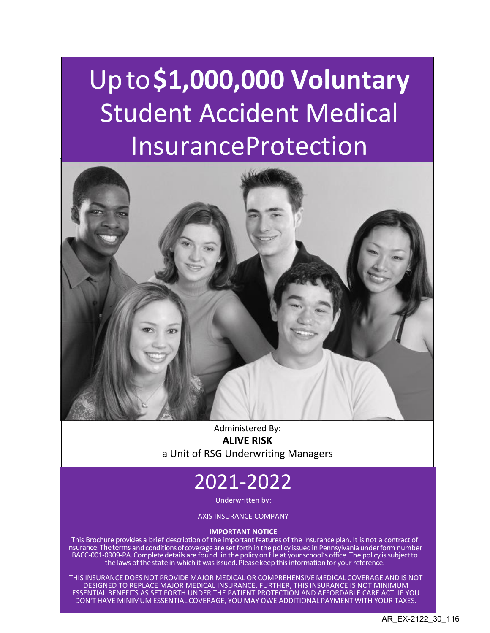# Upto**\$1,000,000 Voluntary**  Student Accident Medical InsuranceProtection



Administered By: **ALIVE RISK** a Unit of RSG Underwriting Managers

## 2021-2022

Underwritten by:

AXIS INSURANCE COMPANY

#### **IMPORTANT NOTICE**

This Brochure provides a brief description of the important features of the insurance plan. It is not a contract of insurance.Theterms andconditionsofcoverage are set forth in thepolicyissuedin Pennsylvania underform number BACC-001-0909-PA. Complete details are found in the policy on file at your school's office. The policy is subject to the laws of the state in which it was issued. Please keep this information for your reference.

THIS INSURANCE DOES NOT PROVIDE MAJOR MEDICAL OR COMPREHENSIVE MEDICAL COVERAGE AND IS NOT DESIGNED TO REPLACE MAJOR MEDICAL INSURANCE. FURTHER, THIS INSURANCE IS NOT MINIMUM ESSENTIAL BENEFITS AS SET FORTH UNDER THE PATIENT PROTECTION AND AFFORDABLE CARE ACT. IF YOU DON'T HAVE MINIMUM ESSENTIAL COVERAGE, YOU MAY OWE ADDITIONAL PAYMENT WITH YOUR TAXES.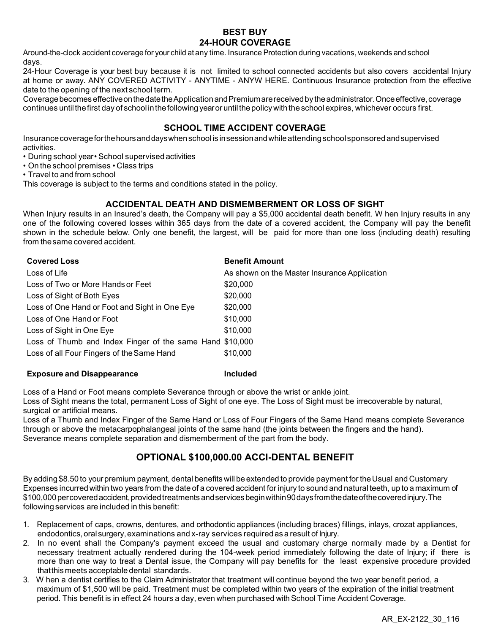#### **BEST BUY 24-HOUR COVERAGE**

Around-the-clock accident coverage for your child at any time. Insurance Protection during vacations, weekends and school days.

24-Hour Coverage is your best buy because it is not limited to school connected accidents but also covers accidental Injury at home or away. ANY COVERED ACTIVITY - ANYTIME - ANYW HERE. Continuous Insurance protection from the effective date to the opening of the next school term.

Coveragebecomes effectiveonthedatetheApplicationandPremiumarereceivedby theadministrator.Onceeffective,coverage continues until the first day of school in the following year or until the policy with the school expires, whichever occurs first.

#### **SCHOOL TIME ACCIDENT COVERAGE**

Insurancecoverageforthehoursanddayswhenschool is insessionandwhileattendingschoolsponsoredandsupervised activities.

- During school year School supervised activities
- On the school premises Class trips
- Travelto and from school

This coverage is subject to the terms and conditions stated in the policy.

#### **ACCIDENTAL DEATH AND DISMEMBERMENT OR LOSS OF SIGHT**

When Injury results in an Insured's death, the Company will pay a \$5,000 accidental death benefit. W hen Injury results in any one of the following covered losses within 365 days from the date of a covered accident, the Company will pay the benefit shown in the schedule below. Only one benefit, the largest, will be paid for more than one loss (including death) resulting from thesame covered accident.

| <b>Covered Loss</b>                                      | <b>Benefit Amount</b>                        |
|----------------------------------------------------------|----------------------------------------------|
| Loss of Life                                             | As shown on the Master Insurance Application |
| Loss of Two or More Hands or Feet                        | \$20,000                                     |
| Loss of Sight of Both Eyes                               | \$20,000                                     |
| Loss of One Hand or Foot and Sight in One Eye            | \$20,000                                     |
| Loss of One Hand or Foot                                 | \$10,000                                     |
| Loss of Sight in One Eye                                 | \$10,000                                     |
| Loss of Thumb and Index Finger of the same Hand \$10,000 |                                              |
| Loss of all Four Fingers of the Same Hand                | \$10,000                                     |

#### **Exposure and Disappearance Included**

Loss of a Hand or Foot means complete Severance through or above the wrist or ankle joint.

Loss of Sight means the total, permanent Loss of Sight of one eye. The Loss of Sight must be irrecoverable by natural, surgical or artificial means.

Loss of a Thumb and Index Finger of the Same Hand or Loss of Four Fingers of the Same Hand means complete Severance through or above the metacarpophalangeal joints of the same hand (the joints between the fingers and the hand). Severance means complete separation and dismemberment of the part from the body.

#### **OPTIONAL \$100,000.00 ACCI-DENTAL BENEFIT**

By adding \$8.50 to yourpremium payment, dental benefits will be extended to provide payment for theUsual and Customary Expenses incurredwithin two years from the date of a covered accident for injury to sound and natural teeth, up to a maximum of \$100,000percoveredaccident,providedtreatments andservicesbeginwithin90daysfromthedateofthecoveredinjury.The following services are included in this benefit:

- 1. Replacement of caps, crowns, dentures, and orthodontic appliances (including braces) fillings, inlays, crozat appliances, endodontics,oralsurgery,examinations and x-ray services required as a result of Injury.
- 2. In no event shall the Company's payment exceed the usual and customary charge normally made by a Dentist for necessary treatment actually rendered during the 104-week period immediately following the date of Injury; if there is more than one way to treat a Dental issue, the Company will pay benefits for the least expensive procedure provided thatthismeets acceptable dental standards.
- 3. W hen a dentist certifies to the Claim Administrator that treatment will continue beyond the two year benefit period, a maximum of \$1,500 will be paid. Treatment must be completed within two years of the expiration of the initial treatment period. This benefit is in effect 24 hours a day, even when purchased with School Time Accident Coverage.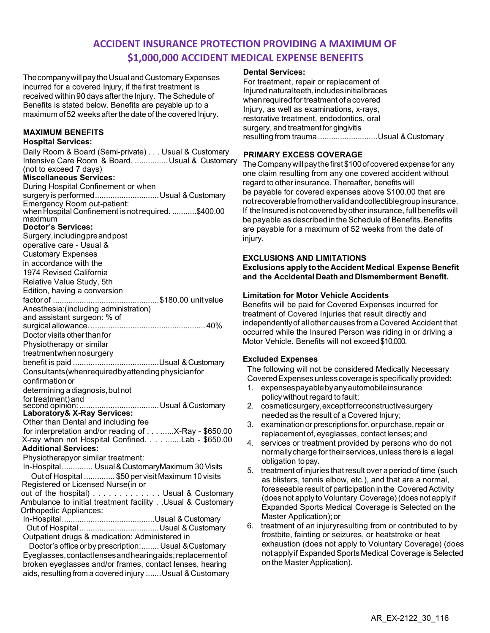#### **ACCIDENT INSURANCE PROTECTION PROVIDING A MAXIMUM OF \$1,000,000 ACCIDENT MEDICAL EXPENSE BENEFITS**

The company will pay the Usual and Customary Expenses incurred for a covered Injury, if the first treatment is received within 90 days after the Injury. The Schedule of Benefits is stated below. Benefits are payable up to a maximum of52 weeks afterthe date of the covered Injury.

#### **MAXIMUM BENEFITS**

#### **Hospital Services:**

Daily Room & Board (Semi-private) . . . Usual & Customary Intensive Care Room & Board. ............... Usual & Customary (not to exceed 7 days) **Miscellaneous Services:** During Hospital Confinement or when surgeryis performed.............................Usual & Customary Emergency Room out-patient: whenHospital Confinement is notrequired. ...........\$400.00 maximum **Doctor's Services:** Surgery,includingpreandpost operative care - Usual & Customary Expenses in accordance with the 1974 Revised California Relative Value Study, 5th Edition, having a conversion factor of ................................................\$180.00 unit value Anesthesia:(including administration) and assistant surgeon: % of surgical allowance.....................................................40% Doctor visits other than for Physiotherapy or similar treatmentwhennosurgery benefit is paid .......................................Usual & Customary Consultants(whenrequiredbyattendingphysicianfor confirmationor determining a diagnosis, but not fortreatment)and second opinion: ....................................Usual &Customary **Laboratory& X-Ray Services:** Other than Dental and including fee for interpretation and/or reading of . . . ......X-Ray - \$650.00 X-ray when not Hospital Confined. . . . .......Lab - \$650.00 **Additional Services:** Physiotherapyor similar treatment: In-Hospital.............. Usual & CustomaryMaximum 30Visits Out of Hospital .............. \$50 per visit Maximum 10 visits Registered or Licensed Nurse(in or out of the hospital) . . . . . . . . . . . . . Usual & Customary Ambulance to initial treatment facility . .Usual & Customary Orthopedic Appliances: In-Hospital..........................................Usual & Customary Out of Hospital ....................................Usual & Customary Outpatient drugs & medication: Administered in Doctor's office or by prescription:........ Usual & Customary

Eyeglasses,contactlensesandhearingaids;replacementof broken eyeglasses and/or frames, contact lenses, hearing aids, resulting from a covered injury ....... Usual & Customary

#### **Dental Services:**

For treatment, repair or replacement of Injured naturalteeth,includesinitialbraces when required for treatment of a covered Injury, as well as examinations, x-rays, restorative treatment, endodontics, oral surgery, and treatment for gingivitis resulting from trauma...........................Usual &Customary

#### **PRIMARY EXCESS COVERAGE**

The Company will pay the first \$100 of covered expense for any one claim resulting from any one covered accident without regard to other insurance. Thereafter, benefits will be payable for covered expenses above \$100.00 that are notrecoverablefromothervalidandcollectiblegroupinsurance. If the Insured is not covered byotherinsurance, full benefits will be payable as described in the Schedule of Benefits. Benefits are payable for a maximum of 52 weeks from the date of injury.

#### **EXCLUSIONS AND LIMITATIONS**

**Exclusions apply totheAccidentMedical Expense Benefit and the Accidental Death and Dismemberment Benefit.**

#### **Limitation for Motor Vehicle Accidents**

Benefits will be paid for Covered Expenses incurred for treatment of Covered Injuries that result directly and independentlyof allother causes from a Covered Accident that occurred while the Insured Person was riding in or driving a Motor Vehicle. Benefits will not exceed\$10,000.

#### **Excluded Expenses**

The following will not be considered Medically Necessary CoveredExpenses unless coverageis specifically provided:

- 1. expensespayablebyanyautomobileinsurance policywithout regard to fault;
- 2. cosmeticsurgery,exceptforreconstructivesurgery needed as the result of a Covered Injury;
- 3. examination or prescriptions for, or purchase, repair or replacementof, eyeglasses, contact lenses; and
- 4. services or treatment provided by persons who do not normallycharge for their services, unless there is a legal obligation topay.
- 5. treatment of injuries thatresult over a period of time (such as blisters, tennis elbow, etc.), and that are a normal, foreseeable result of participation in the Covered Activity (does not apply to Voluntary Coverage) (does not apply if Expanded Sports Medical Coverage is Selected on the Master Application); or
- 6. treatment of an injuryresulting from or contributed to by frostbite, fainting or seizures, or heatstroke or heat exhaustion (does not apply to Voluntary Coverage) (does not apply if Expanded Sports Medical Coverage is Selected on the Master Application).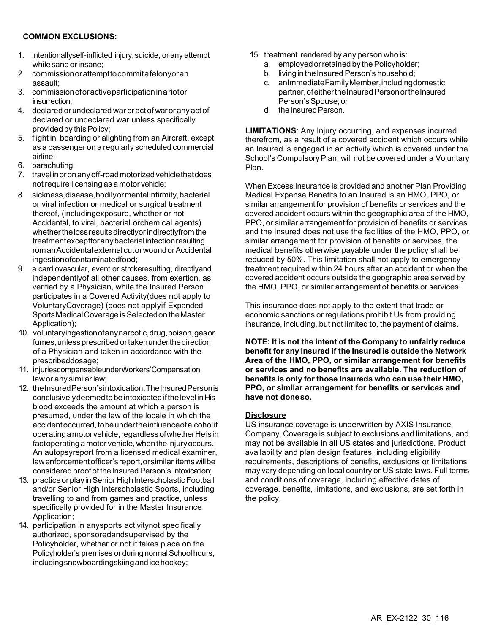#### **COMMON EXCLUSIONS:**

- 1. intentionallyself-inflicted injury,suicide, or any attempt while sane or insane;
- 2. commissionorattempttocommitafelonyoran assault;
- 3. commissionoforactiveparticipationinariotor insurrection;
- 4. declared orundeclared war oractof waror any actof declared or undeclared war unless specifically provided by this Policy;
- 5. flight in, boarding or alighting from an Aircraft, except as a passenger on a regularly scheduled commercial airline;
- 6. parachuting;
- 7. travelinoronanyoff-roadmotorizedvehiclethatdoes not require licensing as a motor vehicle;
- 8. sickness,disease,bodilyormentalinfirmity,bacterial or viral infection or medical or surgical treatment thereof, (includingexposure, whether or not Accidental, to viral, bacterial orchemical agents) whether the loss results directly or indirectly from the treatmentexceptforanybacterialinfectionresulting romanAccidentalexternal cutorwoundorAccidental ingestionofcontaminatedfood;
- 9. a cardiovascular, event or strokeresulting, directlyand independentlyof all other causes, from exertion, as verified by a Physician, while the Insured Person participates in a Covered Activity(does not apply to VoluntaryCoverage) (does not applyif Expanded Sports Medical Coverage is Selected on the Master Application);
- 10. voluntaryingestionofanynarcotic,drug,poison,gasor fumes, unless prescribed or taken under the direction of a Physician and taken in accordance with the prescribeddosage;
- 11. injuriescompensableunderWorkers'Compensation lawor any similar law;
- 12. theInsuredPerson'sintoxication.TheInsuredPersonis conclusivelydeemedtobeintoxicated ifthelevelinHis blood exceeds the amount at which a person is presumed, under the law of the locale in which the accident occurred, to be under the influence of alcoholif operatingamotorvehicle,regardlessofwhetherHeisin factoperating a motor vehicle, when the injury occurs. An autopsyreport from a licensed medical examiner, lawenforcementofficer'sreport,orsimilar itemswillbe considered proof of the Insured Person's intoxication;
- 13. practice or play in Senior High Interscholastic Football and/or Senior High Interscholastic Sports, including travelling to and from games and practice, unless specifically provided for in the Master Insurance Application;
- 14. participation in anysports activitynot specifically authorized, sponsoredandsupervised by the Policyholder, whether or not it takes place on the Policyholder's premises or during normal School hours, includingsnowboardingskiingandicehockey;
- 15. treatment rendered by any person who is:
	- a. employedorretained by the Policyholder;
	- b. living in the Insured Person's household;
	- c. anImmediateFamilyMember,includingdomestic partner, of either the Insured Person or the Insured Person's Spouse; or
	- d. the Insured Person.

**LIMITATIONS**: Any Injury occurring, and expenses incurred therefrom, as a result of a covered accident which occurs while an Insured is engaged in an activity which is covered under the School's Compulsory Plan, will not be covered under a Voluntary Plan.

When Excess Insurance is provided and another Plan Providing Medical Expense Benefits to an Insured is an HMO, PPO, or similar arrangement for provision of benefits or services and the covered accident occurs within the geographic area of the HMO, PPO, or similar arrangement for provision of benefits or services and the Insured does not use the facilities of the HMO, PPO, or similar arrangement for provision of benefits or services, the medical benefits otherwise payable under the policy shall be reduced by 50%. This limitation shall not apply to emergency treatment required within 24 hours after an accident or when the covered accident occurs outside the geographic area served by the HMO, PPO, or similar arrangement of benefits or services.

This insurance does not apply to the extent that trade or economic sanctions or regulations prohibit Us from providing insurance, including, but not limited to, the payment of claims.

**NOTE: It is not the intent of the Company to unfairly reduce benefit for any Insured if the Insured is outside the Network Area of the HMO, PPO, or similar arrangement for benefits or services and no benefits are available. The reduction of benefits is only for those Insureds who can use their HMO, PPO, or similar arrangement for benefits or services and have not doneso.**

#### **Disclosure**

US insurance coverage is underwritten by AXIS Insurance Company. Coverage is subject to exclusions and limitations, and may not be available in all US states and jurisdictions. Product availability and plan design features, including eligibility requirements, descriptions of benefits, exclusions or limitations may vary depending on local country or US state laws. Full terms and conditions of coverage, including effective dates of coverage, benefits, limitations, and exclusions, are set forth in the policy.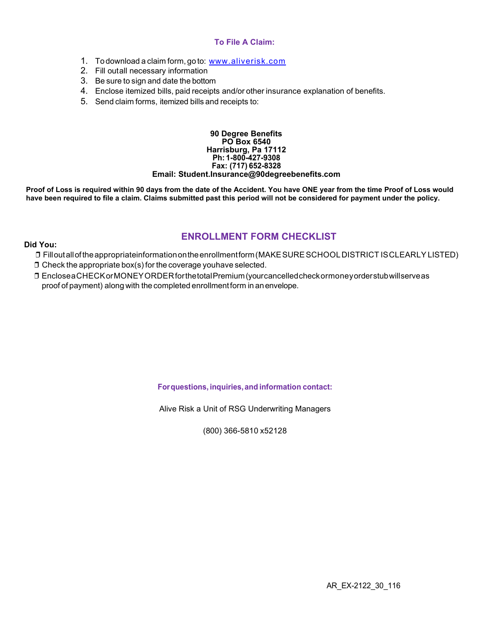#### **To File A Claim:**

- 1. To download a claim form, go to: [www.aliverisk.com](https://aliverisk.com/wp-content/uploads/2021/06/AXIS-2019-Claimform.pdf)
- 2. Fill outall necessary information
- 3. Be sure to sign and date the bottom
- 4. Enclose itemized bills, paid receipts and/or other insurance explanation of benefits.
- 5. Send claim forms, itemized bills and receipts to:

#### **90 Degree Benefits PO Box 6540 Harrisburg, Pa 17112 Ph: 1-800-427-9308 Fax: (717) 652-8328 Email: [Student.Insurance@90degreebenefits.com](mailto:Student.Insurance@90degreebenefits.com)**

**Proof of Loss is required within 90 days from the date of the Accident. You have ONE year from the time Proof of Loss would have been required to file a claim. Claims submitted past this period will not be considered for payment under the policy.**

### **ENROLLMENT FORM CHECKLIST**

- ❒ Filloutalloftheappropriateinformationontheenrollmentform(MAKESURESCHOOLDISTRICT ISCLEARLYLISTED)
- $\square$  Check the appropriate box(s) for the coverage youhave selected.

**Did You:**

❒ EncloseaCHECKorMONEYORDERforthetotalPremium(yourcancelledcheckormoneyorderstubwillserveas proof of payment) along with the completed enrollmentform in anenvelope.

**Forquestions, inquiries,and information contact:** 

Alive Risk a Unit of RSG Underwriting Managers

(800) 366-5810 x52128